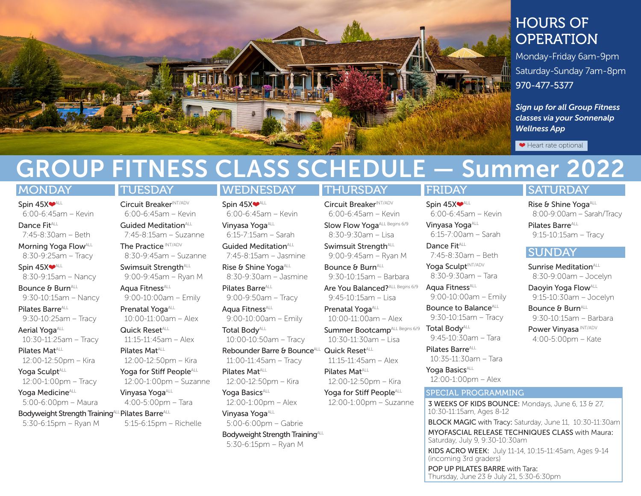

# HOURS OF OPERATION

Monday-Friday 6am-9pm Saturday-Sunday 7am-8pm 970-477-5377

*Sign up for all Group Fitness classes via your Sonnenalp Wellness App*

● Heart rate optional

# GROUP FITNESS CLASS SCHEDULE — Summer 2022 FRIDAY

### **MONDAY**

Spin 45X<sup>oALL</sup> 6:00-6:45am – Kevin Dance FitALL

7:45-8:30am – Beth

Morning Yoga Flow<sup>ALL</sup> 8:30-9:25am – Tracy

Spin 45X<sup>oALL</sup> 8:30-9:15am – Nancy

Bounce & BurnALL 9:30-10:15am – Nancy

Pilates Barre<sup>ALL</sup> 9:30-10:25am – Tracy

Aerial Yoga<sup>ALL</sup> 10:30-11:25am – Tracy

Pilates Mat<sup>ALL</sup> 12:00-12:50pm – Kira

Yoga Sculpt<sup>ALL</sup> 12:00-1:00pm – Tracy

Yoga Medicine<sup>ALL</sup> 5:00-6:00pm – Maura

Bodyweight Strength Training ALL Pilates Barre ALL 5:30-6:15pm – Ryan M

## **TUESDAY**

Circuit BreakerINT/ADV 6:00-6:45am – Kevin Guided Meditation<sup>ALL</sup> 7:45-8:15am – Suzanne The Practice INT/ADV 8:30-9:45am – Suzanne

Swimsuit Strength<sup>ALL</sup> 9:00-9:45am – Ryan M

Aqua Fitness<sup>ALL</sup> 9:00-10:00am – Emily Prenatal Yoga<sup>ALL</sup>

10:00-11:00am – Alex

Quick ResetALL 11:15-11:45am – Alex

Pilates Mat<sup>ALL</sup> 12:00-12:50pm – Kira

Yoga for Stiff People<sup>ALL</sup> 12:00-1:00pm – Suzanne

Vinyasa Yoga<sup>ALL</sup> 4:00-5:00pm – Tara

5:15-6:15pm – Richelle

# **WEDNESDAY**

Spin 45X<sup>oALL</sup> 6:00-6:45am – Kevin Vinyasa Yoga<sup>ALL</sup> 6:15-7:15am – Sarah Guided Meditation<sup>ALL</sup>

7:45-8:15am – Jasmine

Rise & Shine Yoga<sup>ALL</sup> 8:30-9:30am – Jasmine

Pilates Barre<sup>ALL</sup> 9:00-9:50am – Tracy Aqua Fitness<sup>ALL</sup>

9:00-10:00am – Emily Total Body<sup>ALL</sup>

10:00-10:50am – Tracy

Rebounder Barre & Bounce<sup>ALL</sup> Quick Reset<sup>ALL</sup> 11:00-11:45am – Tracy

Pilates Mat<sup>ALL</sup> 12:00-12:50pm – Kira

Yoga Basics<sup>ALL</sup> 12:00-1:00pm – Alex

Vinyasa Yoga ALL 5:00-6:00pm – Gabrie

Bodyweight Strength Training<sup>ALL</sup> 5:30-6:15pm – Ryan M

## THURSDAY

Circuit BreakerINT/ADV 6:00-6:45am – Kevin Slow Flow Yoga<sup>ALL Begins 6/9</sup> 8:30-9:30am – Lisa

Swimsuit Strenath<sup>ALL</sup> 9:00-9:45am – Ryan M

Bounce & BurnALL 9:30-10:15am – Barbara

Are You Balanced? ALL Begins 6/9 9:45-10:15am – Lisa

Prenatal Yoga<sup>ALL</sup> 10:00-11:00am – Alex

Summer Bootcamp<sup>ALL Begins 6/9</sup> 10:30-11:30am – Lisa

11:15-11:45am – Alex

Pilates Mat<sup>ALL</sup> 12:00-12:50pm – Kira

Yoga for Stiff People<sup>ALL</sup> 12:00-1:00pm – Suzanne

Yoga Sculpt<sup>INT/ADV</sup> 8:30-9:30am – Tara Aqua Fitness<sup>ALL</sup>

Spin 45X

Dance Fit<sup>ALL</sup>

Vinyasa Yoga<sup>ALL</sup> 6:15-7:00am – Sarah

6:00-6:45am – Kevin

7:45-8:30am – Beth

9:00-10:00am – Emily Bounce to Balance<sup>ALL</sup>

9:30-10:15am – Tracy **Total Body**<sup>ALL</sup>

9:45-10:30am – Tara Pilates Barre<sup>ALL</sup>

10:35-11:30am – Tara

Yoga Basics<sup>ALL</sup> 12:00-1:00pm – Alex

#### SPECIAL PROGRAMMING

3 WEEKS OF KIDS BOUNCE: Mondays, June 6, 13 & 27, 10:30-11:15am, Ages 8-12

BLOCK MAGIC with Tracy: Saturday, June 11, 10:30-11:30am MYOFASCIAL RELEASE TECHNIQUES CLASS with Maura: Saturday, July 9, 9:30-10:30am

KIDS ACRO WEEK: July 11-14, 10:15-11:45am, Ages 9-14 (incoming 3rd graders)

POP UP PILATES BARRE with Tara: Thursday, June 23 & July 21, 5:30-6:30pm

# **SATURDAY**

Rise & Shine Yoga<sup>ALL</sup> 8:00-9:00am – Sarah/Tracy Pilates Barre<sup>ALL</sup> 9:15-10:15am – Tracy

# **SUNDAY**

Sunrise Meditation<sup>ALL</sup> 8:30-9:00am – Jocelyn

Daoyin Yoga Flow<sup>ALL</sup> 9:15-10:30am – Jocelyn

Bounce & BurnALL 9:30-10:15am – Barbara

Power Vinyasa INT/ADV 4:00-5:00pm – Kate